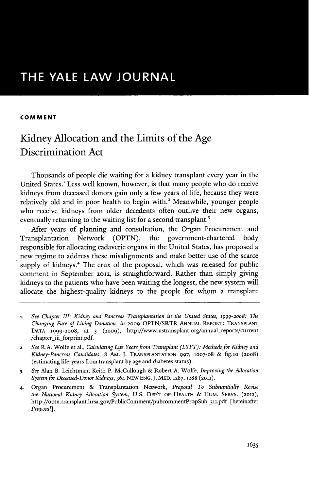#### **COMMENT**

# Kidney Allocation and the Limits of the Age Discrimination Act

Thousands of people die waiting for a kidney transplant every year in the United States.! Less well known, however, is that many people who do receive kidneys from deceased donors gain only a few years of life, because they were relatively old and in poor health to begin with.' Meanwhile, younger people who receive kidneys from older decedents often outlive their new organs, eventually returning to the waiting list for a second transplant.<sup>3</sup>

After years of planning and consultation, the Organ Procurement and Transplantation Network **(OPTN),** the government-chartered body responsible for allocating cadaveric organs in the United States, has proposed a new regime to address these misalignments and make better use of the scarce supply of kidneys.<sup>4</sup> The crux of the proposal, which was released for public comment in September **2012,** is straightforward. Rather than simply giving kidneys to the patients who have been waiting the longest, the new system will allocate the highest-quality kidneys to the people for whom a transplant

- **1.** *See Chapter III: Kidney and Pancreas Transplantation in the United States, 1999-2oo8: The Changing Face of Living Donation, in* **2009** OPTN/SRTR **ANNUAL REPORT: TRANSPLANT DATA 1999-2008,** at **3 (2009),** http://www.ustransplant.org/annual\_reports/current /chapter\_iii\_forprint.pdf.
- 2. *See* R.A. Wolfe et al., *Calculating Life Years from Transplant (LYFT): Methods for Kidney and Kidney-Pancreas Candidates,* **8 AM. J. TRANSPLANTATION 997, 1007-o8** *&* fig.io (2008) (estimating life-years from transplant **by** age and diabetes status).
- **3.** *See* Alan B. Leichtman, Keith P. McCullough **&** Robert **A.** Wolfe, *Improving the Allocation System for Deceased-Donor Kidneys,* 364 **NEwENG.J. MED. 1287, 1288 (2011).**
- **4.** Organ Procurement **&** Transplantation Network, *Proposal To Substantially Revise the National Kidney Allocation System,* **U.S. DEP'T OF HEALTH & HUM. SERVS. (2012),** http://optn.transplant.hrsa.gov/PublicComment/pubcommentPropSub\_311.pdf [hereinafter *Proposal].*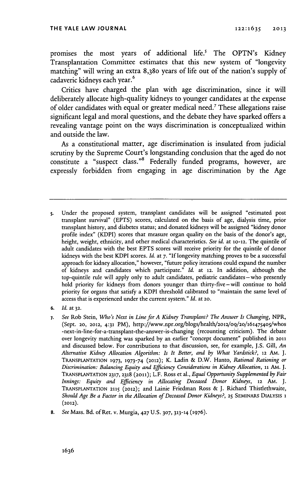promises the most years of additional life.' The OPTN's Kidney Transplantation Committee estimates that this new system of "longevity matching" will wring an extra 8,380 years of life out of the nation's supply of cadaveric kidneys each year.<sup>6</sup>

Critics have charged the plan with age discrimination, since it will deliberately allocate high-quality kidneys to younger candidates at the expense of older candidates with equal or greater medical need.' These allegations raise significant legal and moral questions, and the debate they have sparked offers a revealing vantage point on the ways discrimination is conceptualized within and outside the law.

As a constitutional matter, age discrimination is insulated from judicial scrutiny **by** the Supreme Court's longstanding conclusion that the aged do not constitute a "suspect class."<sup>8</sup> Federally funded programs, however, are expressly forbidden from engaging in age discrimination **by** the Age

- s. Under the proposed system, transplant candidates will be assigned "estimated post transplant survival" **(EPTS)** scores, calculated on the basis of age, dialysis time, prior transplant history, and diabetes status; and donated kidneys will be assigned "kidney donor profile index" (KDPI) scores that measure organ quality on the basis of the donor's age, height, weight, ethnicity, and other medical characteristics. *See id.* at **10-12.** The quintile of adult candidates with the best **EPTS** scores will receive priority for the quintile of donor kidneys with the best KDPI scores. *Id.* at **7. "If** longevity matching proves to be a successful approach for kidney allocation," however, "future policy iterations could expand the number of kidneys and candidates which participate." *Id.* at **12.** In addition, although the top-quintile rule will apply only to adult candidates, pediatric candidates-who presently hold priority for kidneys from donors younger than thirty-five-will continue to hold priority for organs that satisfy a KDPI threshold calibrated to "maintain the same level of access that is experienced under the current system." *Id.* at **20.**
- **6.** *Id.* at **32.**
- **7.** *See* Rob Stein, *Who's Next in Line for A Kidney Transplant? The Answer Is Changing, NPR,* (Sept. **20, 2012, 4:31** PM), http://www.npr.org/blogs/health/2o12/o9/2o/161475405/whos -next-in-line-for-a-transplant-the-answer-is-changing (recounting criticism). The debate over longevity matching was sparked **by** an earlier "concept document" published in **2011** and discussed below. For contributions to that discussion, see, for example, **J.S.** Gill, *An Alternative Kidney Allocation Algorithm: Is It Better, and by What Yardstick?,* **12** AM. **J. TRANSPLANTATION 1973, 1973-74 (2012);** K. Ladin **&** D.W. Hanto, *Rational Rationing or Discrimination: Balancing Equity and Efficiency Considerations in Kidney Allocation,* **11** AM. **J. TRANSPLANTATION 2317, 2318 (2011);** L.F. Ross et al., *Equal Opportunity Supplemented by Fair Innings: Equity and Efficiency in Allocating Deceased Donor Kidneys, 12 AM. J.* **TRANSPLANTATION 2115 (2012);** and Lainie Friedman Ross **& J.** Richard Thistlethwaite, *Should Age Be a Factor in the Allocation of Deceased Donor Kidneys?,* **25 SEMINARS DIALYSIS 1 (2012).**
- *8. See* Mass. Bd. of Ret. v. Murgia, **427 U.S. 307, 313-14 (1976).**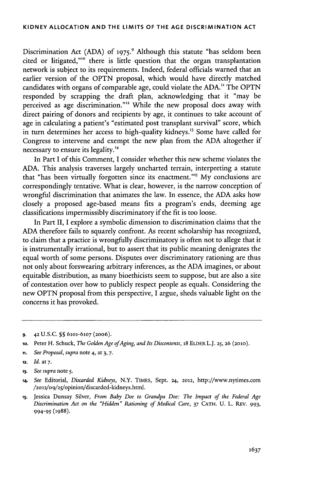Discrimination Act **(ADA) of 1975.9** Although this statute "has seldom been cited or litigated,""o there is little question that the organ transplantation network is subject to its requirements. Indeed, federal officials warned that an earlier version of the **OPTN** proposal, which would have directly matched candidates with organs of comparable age, could violate the **ADA."** The **OPTN** responded **by** scrapping the draft plan, acknowledging that it "may be perceived as age discrimination."" Vhile the new proposal does away with direct pairing of donors and recipients **by** age, it continues to take account of age in calculating a patient's "estimated post transplant survival" score, which in turn determines her access to high-quality kidneys.<sup>13</sup> Some have called for Congress to intervene and exempt the new plan from the **ADA** altogether if necessary to ensure its legality.<sup>14</sup>

In Part I of this Comment, **I** consider whether this new scheme violates the **ADA.** This analysis traverses largely uncharted terrain, interpreting a statute that "has been virtually forgotten since its enactment."" **My** conclusions are correspondingly tentative. What is clear, however, is the narrow conception of wrongful discrimination that animates the law. In essence, the **ADA** asks how closely a proposed age-based means fits a program's ends, deeming age classifications impermissibly discriminatory if the fit is too loose.

In Part II, I explore a symbolic dimension to discrimination claims that the **ADA** therefore fails to squarely confront. As recent scholarship has recognized, to claim that a practice is wrongfully discriminatory is often not to allege that it is instrumentally irrational, but to assert that its public meaning denigrates the equal worth of some persons. Disputes over discriminatory rationing are thus not only about forswearing arbitrary inferences, as the **ADA** imagines, or about equitable distribution, as many bioethicists seem to suppose, but are also a site of contestation over how to publicly respect people as equals. Considering the new **OPTN** proposal from this perspective, **I** argue, sheds valuable light on the concerns it has provoked.

**9. 42 U.S.C. §§ 6101-6107 (20o6).**

- **ii.** *See Proposal, supra* note 4, at **3, 7.**
- **12.** *Id.* at **7.**

**<sup>1</sup>o.** Peter H. Schuck, *The Golden Age ofAging, and Its Discontents,* **18 ELDER** L.J. **25, 26 (2010).**

**<sup>13.</sup>** *See supra* note **5.**

**<sup>14.</sup>** *See Editorial, Discarded Kidneys,* N.Y. TiMES, Sept. **24, 2012,** http://www.nytimes.com /2012/09/25/opinion/discarded-kidneys.html.

**<sup>15.</sup>** Jessica Dunsay Silver, *From Baby Doe to Grandpa Doe: The Impact of the Federal Age Discrimination Act on the "Hidden" Rationing of Medical Care,* **37 CATH. U.** L. REV. **993,** *994-95* **(1988).**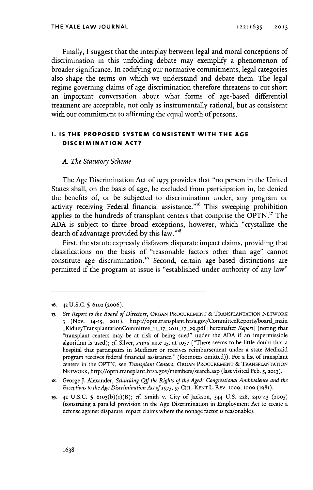Finally, I suggest that the interplay between legal and moral conceptions of discrimination in this unfolding debate may exemplify a phenomenon of broader significance. In codifying our normative commitments, legal categories also shape the terms on which we understand and debate them. The legal regime governing claims of age discrimination therefore threatens to cut short an important conversation about what forms of age-based differential treatment are acceptable, not only as instrumentally rational, but as consistent with our commitment to affirming the equal worth of persons.

## **1. IS THE PROPOSED SYSTEM CONSISTENT WITH THE AGE DISCRIMINATION ACT?**

#### *A. The Statutory Scheme*

The Age Discrimination Act **of 1975** provides that "no person in the United States shall, on the basis of age, be excluded from participation in, be denied the benefits of, or be subjected to discrimination under, any program or activity receiving Federal financial assistance."<sup>16</sup> This sweeping prohibition applies to the hundreds of transplant centers that comprise the **OPTN."** The **ADA** is subject to three broad exceptions, however, which "crystallize the dearth of advantage provided **by** this law."

First, the statute expressly disfavors disparate impact claims, providing that classifications on the basis of "reasonable factors other than age" cannot constitute age discrimination.<sup>19</sup> Second, certain age-based distinctions are permitted if the program at issue is "established under authority of any law"

**<sup>16.</sup>** 42 **U.S.C. § 61o2** (20o6).

**<sup>17.</sup>** *See Report to the Board of Directors,* **ORGAN** PROCUREMENT **&** TRANSPLANTATION NETWORK **3** (Nov. 14-15, **2011),** http://optn.transplant.hrsa.gov/CommitteeReports/board-main jKidneyTransplantationCommittee **11\_17\_2011\_17\_29.pdf** [hereinafter *Report]* (noting that "transplant centers may be at risk of being sued" under the **ADA** if an impermissible algorithm is used); *cf Silver, supra note* **15,** at **1057** ("There seems to be little doubt that a hospital that participates in Medicare or receives reimbursement under a state Medicaid program receives federal financial assistance." (footnotes omitted)). For a list of transplant centers in the **OPTN,** see *Transplant Centers,* **ORGAN** PROCUREMENT **& TRANSPLANTATION** NETWORK, http://optn.transplant.hrsa.gov/members/search.asp (last visited Feb. *5,* **2013).**

**is.** George **J.** Alexander, *Schucking Off the Rights of the Aged: Congressional Ambivalence and the Exceptions to the Age Discrimination Act of 1975, 57 CHI.-KENT L. REV. 1009, 1009 (1981).* 

**<sup>19.</sup>** 42 **U.S.C. § 610 <sup>3</sup> (b)(1)(B);** *cf* Smith v. City of Jackson, 544 **U.S. 228,** 240-43 **(2005)** (construing a parallel provision in the Age Discrimination in Employment Act to create a defense against disparate impact claims where the nonage factor is reasonable).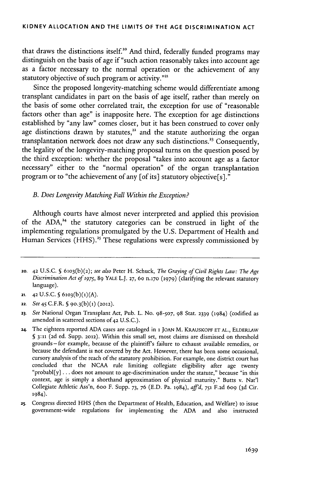that draws the distinctions itself.<sup>20</sup> And third, federally funded programs may distinguish on the basis of age if "such action reasonably takes into account age as a factor necessary to the normal operation or the achievement of any statutory objective of such program or activity."<sup>21</sup>

Since the proposed longevity-matching scheme would differentiate among transplant candidates in part on the basis of age itself, rather than merely on the basis of some other correlated trait, the exception for use of "reasonable factors other than age" is inapposite here. The exception for age distinctions established **by** "any law" comes closer, but it has been construed to cover only age distinctions drawn by statutes,<sup>22</sup> and the statute authorizing the organ transplantation network does not draw any such distinctions." Consequently, the legality of the longevity-matching proposal turns on the question posed **by** the third exception: whether the proposal "takes into account age as a factor necessary" either to the "normal operation" of the organ transplantation program or to "the achievement of any [of its] statutory objective[s]."

## *B. Does Longevity Matching Fall Within the Exception?*

Although courts have almost never interpreted and applied this provision of the ADA,<sup>24</sup> the statutory categories can be construed in light of the implementing regulations promulgated **by** the **U.S.** Department of Health and Human Services **(HHS).<sup>2</sup> s** These regulations were expressly commissioned **by**

**<sup>20. 42</sup> U.S.C. 5 610 <sup>3</sup> (b)(2);** see also Peter H. Schuck, *The Graying of Civil Rights Law: The Age Discrimination Act of* **1975, 89** YALE L.J. **27,** 60 n.170 **(1979)** (clarifying the relevant statutory language).

**<sup>21.</sup>** 42 U.S.C. § 6103(b)(1)(A).

**<sup>22.</sup>** *See 45* C.F.R. **S 90. <sup>3</sup> (b)(1) (2012).**

**<sup>23.</sup>** *See* National Organ Transplant Act, Pub. L. No. *98-507,* **98** Stat. **2339** (1984) (codified as amended in scattered sections **of 42 U.S.C.).**

**<sup>24.</sup>** The eighteen reported **ADA** cases are cataloged in **1 JOAN** M. KRAUSKOPF **ET AL.,** ELDERLAW § 3:11 (2d ed. Supp. 2012). Within this small set, most claims are dismissed on threshold grounds -for example, because of the plaintiff's failure to exhaust available remedies, or because the defendant is not covered **by** the Act. However, there has been some occasional, cursory analysis of the reach of the statutory prohibition. For example, one district court has concluded that the **NCAA** rule limiting collegiate eligibility after age twenty "probabl[y] **...** does not amount to age-discrimination under the statute," because "in this context, age is simply a shorthand approximation of physical maturity." Butts v. Nat'l Collegiate Athletic Ass'n, 6oo F. Supp. *73, 76* **(E.D.** Pa. **1984),** *affd,* **751 F.2d 609 (3d** Cir. **1984).**

**<sup>25.</sup>** Congress directed **HHS** (then the Department of Health, Education, and Welfare) to issue government-wide regulations for implementing the **ADA** and also instructed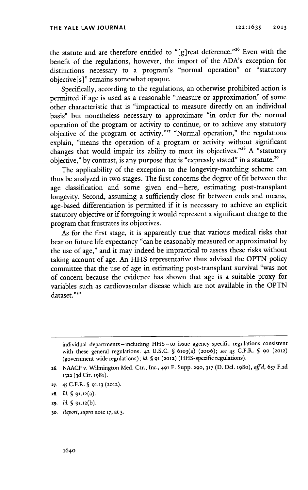the statute and are therefore entitled to "[g]reat deference."<sup>26</sup> Even with the benefit of the regulations, however, the import of the ADA's exception for distinctions necessary to a program's "normal operation" or "statutory objective [s]" remains somewhat opaque.

Specifically, according to the regulations, an otherwise prohibited action is permitted if age is used as a reasonable "measure or approximation" of some other characteristic that is "impractical to measure directly on an individual basis" but nonetheless necessary to approximate "in order for the normal operation of the program or activity to continue, or to achieve any statutory objective of the program or activity."<sup>27</sup> "Normal operation," the regulations explain, "means the operation of a program or activity without significant changes that would impair its ability to meet its objectives."" **A** "statutory objective," by contrast, is any purpose that is "expressly stated" in a statute.<sup>29</sup>

The applicability of the exception to the longevity-matching scheme can thus be analyzed in two stages. The first concerns the degree of fit between the age classification and some given end-here, estimating post-transplant longevity. Second, assuming a sufficiently close fit between ends and means, age-based differentiation is permitted if it is necessary to achieve an explicit statutory objective or if foregoing it would represent a significant change to the program that frustrates its objectives.

As for the first stage, it is apparently true that various medical risks that bear on future life expectancy "can be reasonably measured or approximated **by** the use of age," and it may indeed be impractical to assess these risks without taking account of age. An **HHS** representative thus advised the **OPTN** policy committee that the use of age in estimating post-transplant survival "was not of concern because the evidence has shown that age is a suitable proxy for variables such as cardiovascular disease which are not available in the **OPTN** dataset."3o

- **27.** 45 C.F.R. **§ 91-13 (2012).**
- 28. *Id.* **§ 91.12(a).**
- **2g.** *Id.* **§ 91.12(b).**
- **30.** *Report, supra* **note 17, at 3.**

individual departments-including HHS-to issue agency-specific regulations consistent with these general regulations. **42 U.S.C. § 6103(a) (2006);** see 45 C.F.R. **5 9o (2012)** (government-wide regulations); **id. § 91 (2012)** (HHS-specific regulations).

**<sup>26.</sup> NAACP** v. Wilmington Med. Ctr., Inc., **491** F. **Supp. 290, 317 (D. Del. 1980),** *affd, 657* **F.2d 1322 ( 3d** Cit. **1981).**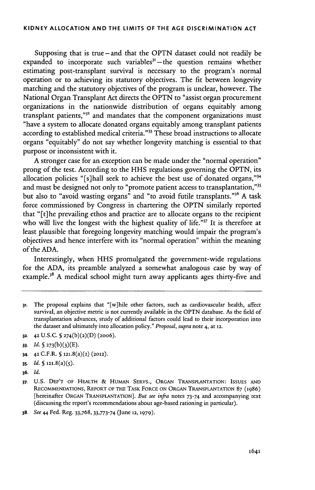Supposing that is true -and that the **OPTN** dataset could not readily be expanded to incorporate such variables" **-** the question remains whether estimating post-transplant survival is necessary to the program's normal operation or to achieving its statutory objectives. The fit between longevity matching and the statutory objectives of the program is unclear, however. The National Organ Transplant Act directs the **OPTN** to "assist organ procurement organizations in the nationwide distribution of organs equitably among transplant patients,"<sup>32</sup> and mandates that the component organizations must "have a system to allocate donated organs equitably among transplant patients according to established medical criteria."<sup>33</sup> These broad instructions to allocate organs "equitably" do not say whether longevity matching is essential to that purpose or inconsistent with it.

**A** stronger case for an exception can be made under the "normal operation" prong of the test. According to the **HHS** regulations governing the **OPTN,** its allocation policies "[s]hall seek to achieve the best use of donated organs,"<sup>34</sup> and must be designed not only to "promote patient access to transplantation,"<sup>35</sup> but also to "avoid wasting organs" and "to avoid futile transplants."<sup>36</sup> A task force commissioned **by** Congress in chartering the **OPTN** similarly reported that "[t] he prevailing ethos and practice are to allocate organs to the recipient who will live the longest with the highest quality of life."37 It **is** therefore at least plausible that foregoing longevity matching would impair the program's objectives and hence interfere with its "normal operation" within the meaning of the **ADA.**

Interestingly, when **HHS** promulgated the government-wide regulations for the **ADA,** its preamble analyzed a somewhat analogous case **by** way of example.<sup>38</sup> A medical school might turn away applicants ages thirty-five and

- 3. The proposal explains that "[w]hile other factors, such as cardiovascular health, affect survival, an objective metric is not currently available in the **OPTN** database. As the **field** of transplantation advances, study of additional factors could lead to their incorporation into the dataset and ultimately into allocation policy." *Proposal, supra* note 4, at **12.**
- **32. 42 U.S.C. 5 27 <sup>4</sup> (b)(2)(D)** (20o6).

- 34. **42** C.F.R. **§ 121.8(a)(2) (2012).**
- **3s.** *Id.* **§ 121.8** (a) **(5).**
- **36.** *Id.*

**38.** *See* 44 Fed. Reg. **33,768, 33,773-74** (June **12, 1979).**

**<sup>33.</sup>** *Id.* **S 273 (b) (3) (E).-**

**<sup>37.</sup> U.S.** DEP'T OF HEALTH **&** HuMAN SERVS., **ORGAN TRANSPLANTATION: ISSUES AND** RECOMMENDATIONS, REPORT OF THE TASK FORCE **ON ORGAN TRANSPLANTATION 87 (1986)** [hereinafter **ORGAN TRANSPLANTATION].** *But see infra* notes **73-74** and accompanying text (discussing the report's recommendations about age-based rationing in particular).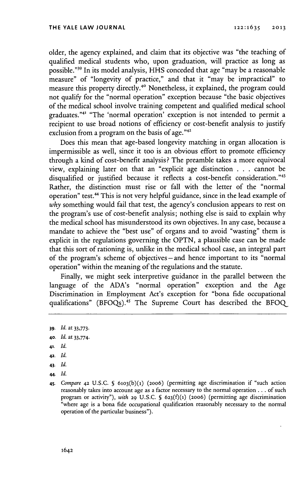older, the agency explained, and claim that its objective was "the teaching of qualified medical students who, upon graduation, will practice as long as possible."<sup>39</sup> In its model analysis, HHS conceded that age "may be a reasonable measure" of "longevity of practice," and that it "may be impractical" to measure this property directly.4o Nonetheless, it explained, the program could not qualify for the "normal operation" exception because "the basic objectives of the medical school involve training competent and qualified medical school graduates."4' "The 'normal operation' exception is not intended to permit a recipient to use broad notions of efficiency or cost-benefit analysis to justify exclusion from a program on the basis of age."<sup>42</sup>

Does this mean that age-based longevity matching in organ allocation is impermissible as well, since it too is an obvious effort to promote efficiency through a kind of cost-benefit analysis? The preamble takes a more equivocal view, explaining later on that an "explicit age distinction **. . .** cannot **be** disqualified or justified because it reflects a cost-benefit consideration."43 Rather, the distinction must rise or fall with the letter of the "normal operation" test.44 This is not very helpful guidance, since in the lead example of *why* something would fail that test, the agency's conclusion appears to rest on the program's use of cost-benefit analysis; nothing else is said to explain why the medical school has misunderstood its own objectives. In any case, because a mandate to achieve the "best use" of organs and to avoid "wasting" them is explicit in the regulations governing the **OPTN,** a plausible case can be made that this sort of rationing is, unlike in the medical school case, an integral part of the program's scheme of objectives-and hence important to its "normal operation" within the meaning of the regulations and the statute.

Finally, we might seek interpretive guidance in the parallel between the language of the ADA's "normal operation" exception and the Age Discrimination in Employment Act's exception for "bona fide occupational qualifications" (BFOQs).<sup>45</sup> The Supreme Court has described the BFOQ

- **42.** *Id.*
- 43. *Id.*
- 44. *Id.*

**<sup>39.</sup>** *Id. at* **33,773.**

**<sup>40.</sup>** *Id. at* **33,774.**

**<sup>41.</sup>** *Id.*

**<sup>45.</sup>** *Compare* **42 U.S.C. § 610 3(b)(1) (20o6)** (permitting age discrimination if "such action reasonably takes into account age as a factor necessary to the normal operation **...** of such program or activity"), *with* **29 U.S.C. § 62 3(f)(1) (20o6)** (permitting age discrimination " where age is a bona fide occupational qualification reasonably necessary to the normal operation of the particular business").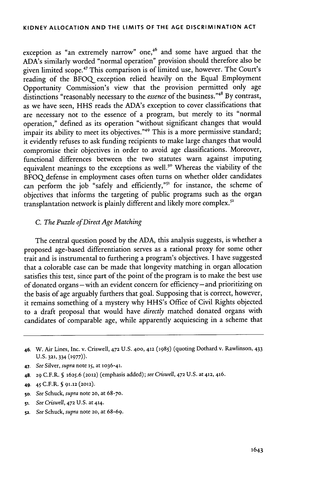## **KIDNEY ALLOCATION AND THE LIMITS OF THE AGE DISCRIMINATION ACT**

exception as "an extremely narrow" one,<sup>46</sup> and some have argued that the ADA's similarly worded "normal operation" provision should therefore also be given limited scope.47 This comparison is of limited use, however. The Court's reading of the **BFOQ** exception relied heavily on the Equal Employment Opportunity Commission's view that the provision permitted only age distinctions "reasonably necessary to the *essence* of the business."\*\* **By** contrast, as we have seen, **HHS** reads the ADA's exception to cover classifications that are necessary not to the essence of a program, but merely to its "normal operation," defined as its operation "without significant changes that would impair its ability to meet its objectives."<sup>49</sup> This is a more permissive standard; it evidently refuses to ask funding recipients to make large changes that would compromise their objectives in order to avoid age classifications. Moreover, functional differences between the two statutes warn against imputing equivalent meanings to the exceptions as well.<sup>50</sup> Whereas the viability of the BFOQ defense in employment cases often turns on whether older candidates can perform the job "safely and efficiently,"<sup>51</sup> for instance, the scheme of objectives that informs the targeting of public programs such as the organ transplantation network is plainly different and likely more complex.<sup>52</sup>

## *C. The Puzzle ofDirect Age Matching*

The central question posed **by** the **ADA,** this analysis suggests, is whether a proposed age-based differentiation serves as a rational proxy for some other trait and is instrumental to furthering a program's objectives. **I** have suggested that a colorable case can be made that longevity matching in organ allocation satisfies this test, since part of the point of the program is to make the best use of donated organs **-** with an evident concern for efficiency **-** and prioritizing on the basis of age arguably furthers that goal. Supposing that is correct, however, it remains something of a mystery why HHS's Office of Civil Rights objected to a draft proposal that would have *directly* matched donated organs with candidates of comparable age, while apparently acquiescing in a scheme that

- **50.** *See Schuck, supra* note **20,** at **68-70.**
- **51.** *See Criswell,* **472 U.S.** at **414.**
- **52.** *See Schuck, supra* note **20,** at **68-69.**

*<sup>46.</sup>* W. Air Lines, Inc. v. Criswell, **472 U.S. 400, 412 (1985)** (quoting Dothard v. Rawlinson, 433 **U.S. 321,** 334 **(1977)).**

*<sup>47.</sup> See Silver, supra* note **15,** at 1036-41.

<sup>48.</sup> **29** C.F.R. **§** *1625.6* **(2012)** (emphasis added); *see Criswell,* **472 U.S.** at **412,** 46.

**<sup>49.</sup>** *45* C.F.R. **§ 91.12 (2012).**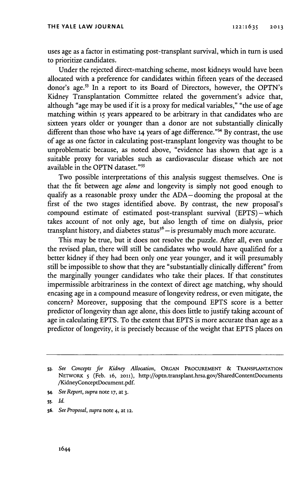uses age as a factor in estimating post-transplant survival, which in turn is used to prioritize candidates.

Under the rejected direct-matching scheme, most kidneys would have been allocated with a preference for candidates within fifteen years of the deceased donor's age.<sup>53</sup> In a report to its Board of Directors, however, the OPTN's Kidney Transplantation Committee related the government's advice that, although "age may be used if it is a proxy for medical variables," "the use of age matching within **is** years appeared to be arbitrary in that candidates who are sixteen years older or younger than a donor are not substantially clinically different than those who have **14** years of age difference."" **By** contrast, the use of age as one factor in calculating post-transplant longevity was thought to be unproblematic because, as noted above, "evidence has shown that age is a suitable proxy for variables such as cardiovascular disease which are not available in the **OPTN** dataset."s

Two possible interpretations of this analysis suggest themselves. One is that the fit between age *alone* and longevity is simply not good enough to qualify as a reasonable proxy under the ADA-dooming the proposal at the first of the two stages identified above. **By** contrast, the new proposal's compound estimate of estimated post-transplant survival (EPTS)-which takes account of not only age, but also length of time on dialysis, prior transplant history, and diabetes status<sup>56</sup> - is presumably much more accurate.

This may be true, but it does not resolve the puzzle. After all, even under the revised plan, there will still be candidates who would have qualified for a better kidney if they had been only one year younger, and it will presumably still be impossible to show that they are "substantially clinically different" from the marginally younger candidates who take their places. If that constitutes impermissible arbitrariness in the context of direct age matching, why should encasing age in a compound measure of longevity redress, or even mitigate, the concern? Moreover, supposing that the compound **EPTS** score is a better predictor of longevity than age alone, this does little to justify taking account of age in calculating **EPTS.** To the extent that **EPTS** is more accurate than age as a predictor of longevity, it is precisely because of the weight that **EPTS** places on

**<sup>53.</sup>** *See Concepts for Kidney Allocation,* **ORGAN PRocuREMENT & TRANSPLANTATION NETWORK** 5 (Feb. **16, 2011),** http://optn.transplant.hrsa.gov/SharedContentDocuments /KidneyConceptDocument.pdf.

s4. *See Report, supra* note **17,** at **3.**

ss. *Id.*

**s6.** *See Proposal, supra* note 4, at **12.**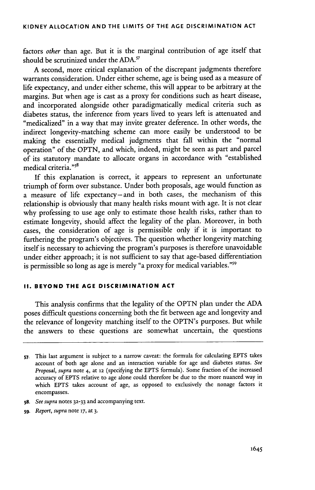factors *other* than age. But it is the marginal contribution of age itself that should be scrutinized under the **ADA.'**

**A** second, more critical explanation of the discrepant judgments therefore warrants consideration. Under either scheme, age is being used as a measure of life expectancy, and under either scheme, this will appear to be arbitrary at the margins. But when age is cast as a proxy for conditions such as heart disease, and incorporated alongside other paradigmatically medical criteria such as diabetes status, the inference from years lived to years left is attenuated and "medicalized" in a way that may invite greater deference. In other words, the indirect longevity-matching scheme can more easily be understood to be making the essentially medical judgments that fall within the "normal operation" of the **OPTN,** and which, indeed, might be seen as part and parcel of its statutory mandate to allocate organs in accordance with "established medical criteria."58

**If** this explanation is correct, it appears to represent an unfortunate triumph of form over substance. Under both proposals, age would function as a measure of life expectancy-and in both cases, the mechanism of this relationship is obviously that many health risks mount with age. It is not clear why professing to use age only to estimate those health risks, rather than to estimate longevity, should affect the legality of the plan. Moreover, in both cases, the consideration of age is permissible only if it is important to furthering the program's objectives. The question whether longevity matching itself is necessary to achieving the program's purposes is therefore unavoidable under either approach; it is not sufficient to say that age-based differentiation is permissible so long as age is merely "a proxy for medical variables."<sup>59</sup>

## **II. BEYOND THE AGE DISCRIMINATION ACT**

This analysis confirms that the legality of the **OPTN** plan under the **ADA** poses difficult questions concerning both the fit between age and longevity and the relevance of longevity matching itself to the OPTN's purposes. But while the answers to these questions are somewhat uncertain, the questions

- *58. See supra* notes **32-33** and accompanying text.
- **59.** *Report, supra* note **17,** at **3.**

**<sup>57.</sup>** This last argument is subject to a narrow caveat: the formula for calculating **EPTS** takes account of both age alone and an interaction variable for age and diabetes status. *See Proposal, supra* note 4, at **12** (specifying the **EPTS** formula). Some fraction of the increased accuracy of **EPTS** relative to age alone could therefore be due to the more nuanced way in which **EPTS** takes account of age, *as* opposed to exclusively the nonage factors it encompasses.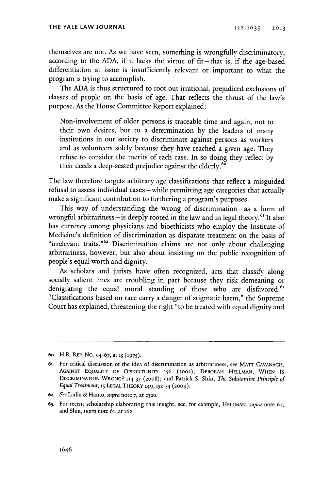themselves are not. As we have seen, something is wrongfully discriminatory, according to the ADA, if it lacks the virtue of fit-that is, if the age-based differentiation at issue is insufficiently relevant or important to what the program is trying to accomplish.

The **ADA** is thus structured to root out irrational, prejudiced exclusions of classes of people on the basis of age. That reflects the thrust of the law's purpose. As the House Committee Report explained:

Non-involvement of older persons is traceable time and again, not to their own desires, but to a determination **by** the leaders of many institutions in our society to discriminate against persons as workers and as volunteers solely because they have reached a given age. They refuse to consider the merits of each case. In so doing they reflect **by** their deeds a deep-seated prejudice against the elderly.<sup>60</sup>

The law therefore targets arbitrary age classifications that reflect a misguided refusal to assess individual cases - while permitting age categories that actually make a significant contribution to furthering a program's purposes.

This way of understanding the wrong of discrimination- as a form of wrongful arbitrariness–is deeply rooted in the law and in legal theory.<sup>61</sup> It also has currency among physicians and bioethicists who employ the Institute of Medicine's definition of discrimination as disparate treatment on the basis of "irrelevant traits."<sup>62</sup> Discrimination claims are not only about challenging arbitrariness, however, but also about insisting on the public recognition of people's equal worth and dignity.

As scholars and jurists have often recognized, acts that classify along socially salient lines are troubling in part because they risk demeaning or denigrating the equal moral standing of those who are disfavored.<sup>63</sup> "Classifications based on race carry a danger of stigmatic harm," the Supreme Court has explained, threatening the right "to be treated with equal dignity and

**<sup>6</sup>o.** H.R. **REP. No. 94-67, at 15 (1975).**

**<sup>61.</sup>** For critical discussion of the idea of discrimination as arbitrariness, see MAT **CAVANAGH,** AGAINST EQUALITY OF OPPORTUNITY 156 (2002); DEBORAH HELLMAN, WHEN IS DISCRIMINATION WRONG? 114-37 (2008); and Patrick S. Shin, *The Substantive Principle of Equal Treatment,* **15 LEGAL THEORY 149, 152-54 (2009).**

**<sup>62.</sup>** *See* Ladin **&** Hanto, *supra* note **7,** at **2320.**

**<sup>63.</sup>** For recent scholarship elaborating this insight, see, for example, **HELLMAN,** *supra* note 61; and Shin, *supra* note **61,** at **162.**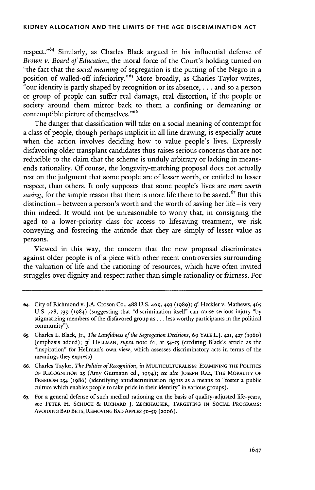respect."<sup>64</sup> Similarly, as Charles Black argued in his influential defense of *Brown v. Board of Education,* the moral force of the Court's holding turned on "the fact that the *social meaning* of segregation is the putting of the Negro in a position of walled-off inferiority."<sup>65</sup> More broadly, as Charles Taylor writes, "our identity is partly shaped **by** recognition or its absence, **. . .** and so a person or group of people can suffer real damage, real distortion, if the people or society around them mirror back to them a confining or demeaning or contemptible picture of themselves."<sup>66</sup>

The danger that classification will take on a social meaning of contempt for a class of people, though perhaps implicit in all line drawing, is especially acute when the action involves deciding how to value people's lives. Expressly disfavoring older transplant candidates thus raises serious concerns that are not reducible to the claim that the scheme is unduly arbitrary or lacking in meansends rationality. **Of** course, the longevity-matching proposal does not actually rest on the judgment that some people are of lesser worth, or entitled to lesser respect, than others. It only supposes that some people's lives are *more worth saving*, for the simple reason that there is more life there to be saved.<sup>67</sup> But this distinction **-** between a person's worth and the worth of saving her life **-** is very thin indeed. It would not be unreasonable to worry that, in consigning the aged to a lower-priority class for access to lifesaving treatment, we risk conveying and fostering the attitude that they are simply of lesser value as persons.

Viewed in this way, the concern that the new proposal discriminates against older people is of a piece with other recent controversies surrounding the valuation of life and the rationing of resources, which have often invited struggles over dignity and respect rather than simple rationality or fairness. For

- **64.** City of Richmond v. **J.A.** Croson **Co., 488 U.S.** 469, 493 **(1989);** *cf* Heckler v. Mathews, 465 **U.S. 728, 739 (1984)** (suggesting that "discrimination itself' can cause serious injury **"by** stigmatizing members of the disfavored group as **...** less worthy participants in the political community").
- **65.** Charles L. Black, Jr., *The Lawfulness of the Segregation Decisions,* **69 YALE L.J. 421, 427 (1960)** (emphasis added); *cf HELLMAN, supra* note 61, at **54-55** (crediting Black's article as the "inspiration" for Hellman's own view, which assesses discriminatory acts in terms of the meanings they express).
- **66.** Charles Taylor, *The Politics ofRecognition, in* **MULTICULTURALISM: EXAMINING THE POLITICS OF RECOGNITION 25** (Amy Gutmann ed., **1994);** *see also* **JOSEPH RAZ,** THE **MORALITY OF FREEDOM 254 (1986)** (identifying antidiscrimination rights as a means to "foster a public culture which enables people to take pride in their identity" in various groups).
- **67.** For a general defense of such medical rationing on the basis of quality-adjusted life-years, see **PETER** H. **SCHUCK & RICHARD J. ZECKHAUSER, TARGETING IN SOCIAL** PROGRAMS: **AVOIDING BAD BETS, REMOVING BAD APPLES 50-59 (20o6).**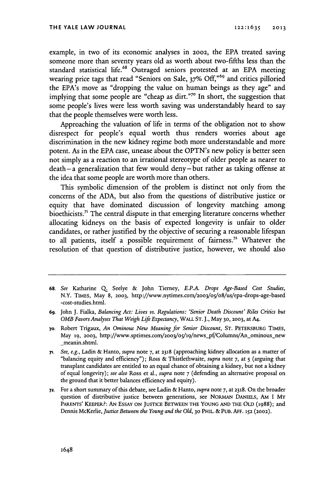example, in two of its economic analyses in 2002, the **EPA** treated saving someone more than seventy years old as worth about two-fifths less than the standard statistical life. 8 Outraged seniors protested at an **EPA** meeting wearing price tags that read "Seniors on Sale, **37% Off,"69** and critics pilloried the EPA's move as "dropping the value on human beings as they age" and implying that some people are "cheap as dirt."<sup>70</sup> In short, the suggestion that some people's lives were less worth saving was understandably heard to say that the people themselves were worth less.

Approaching the valuation of life in terms of the obligation not to show disrespect for people's equal worth thus renders worries about age discrimination in the new kidney regime both more understandable and more potent. As in the **EPA** case, unease about the OPTN's new policy is better seen not simply as a reaction to an irrational stereotype of older people as nearer to death **-** a generalization that few would deny **-** but rather as taking offense at the idea that some people are worth more than others.

This symbolic dimension of the problem is distinct not only from the concerns of the **ADA,** but also from the questions of distributive justice or equity that have dominated discussion of longevity matching among bioethicists.<sup>71</sup> The central dispute in that emerging literature concerns whether allocating kidneys on the basis of expected longevity is unfair to older candidates, or rather justified **by** the objective of securing a reasonable lifespan to all patients, itself a possible requirement of fairness.72 Whatever the resolution of that question of distributive justice, however, we should also

**<sup>68.</sup>** *See* Katharine **Q.** Seelye **&** John Tierney, *E.P.A. Drops Age-Based Cost Studies,* N.Y. TIMES, May 8, 2003, http://www.nytimes.com/2003/05/08/us/epa-drops-age-based -cost-studies.html.

**<sup>6</sup>g.** John **J.** Fialka, *Balancing Act: Lives vs. Regulations: 'Senior Death Discount' Riles Critics but OMB Favors Analyses That Weigh Life Expectancy,* **WALL ST. J.,** May **30, 2003,** at A4.

**<sup>70.</sup>** Robert Trigaux, *An Ominous New Meaning for Senior Discount,* **ST.** PETERSBURG TIMES, May 19, 2003, http://www.sptimes.com/2003/05/19/news\_pf/Columns/An\_ominous\_new meanin.shtml.

<sup>71.</sup> *See, e.g.,* Ladin **&** Hanto, *supra* note **7,** at 2318 (approaching kidney allocation as a matter of "balancing equity and efficiency"); Ross **&** Thistlethwaite, *supra* note **7,** at *5* (arguing that transplant candidates are entitled to an equal chance of obtaining a kidney, but not a kidney of equal longevity); *see also* Ross et al., *supra* note **7** (defending an alternative proposal on the ground that it better balances efficiency and equity).

**<sup>72.</sup>** For a short summary of this debate, see Ladin **&** Hanto, *supra* note **7,** at **2318.** On the broader question of distributive justice between generations, see **NORMAN DANIELS,** AM I MY PARENTS' KEEPER?: **AN** ESSAY **ON JUSTICE BETWEEN THE YOUNG AND THE** OLD (1988); and Dennis McKerlie, *Justice Between the Young and the Old,* **30** PHIL. **& PUB. AFF. 152 (2002).**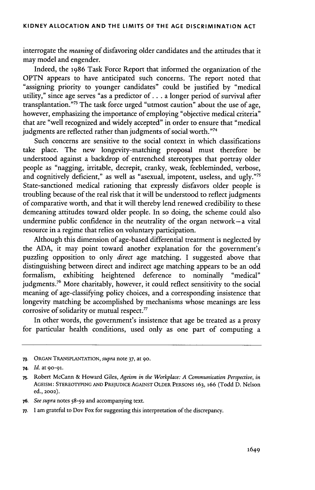interrogate the *meaning* of disfavoring older candidates and the attitudes that it may model and engender.

Indeed, the **1986** Task Force Report that informed the organization of the **OPTN** appears to have anticipated such concerns. The report noted that "assigning priority to younger candidates" could be justified **by** "medical utility," since age serves "as a predictor of **. . .** a longer period of survival after transplantation."<sup>73</sup> The task force urged "utmost caution" about the use of age, however, emphasizing the importance of employing "objective medical criteria" that are "well recognized and widely accepted" in order to ensure that "medical judgments are reflected rather than judgments of social worth."74

Such concerns are sensitive to the social context in which classifications take place. The new longevity-matching proposal must therefore be understood against a backdrop of entrenched stereotypes that portray older people as "nagging, irritable, decrepit, cranky, weak, feebleminded, verbose, and cognitively deficient," as well as "asexual, impotent, useless, and ugly."<sup>75</sup> State-sanctioned medical rationing that expressly disfavors older people is troubling because of the real risk that it will be understood to reflect judgments of comparative worth, and that it will thereby lend renewed credibility to these demeaning attitudes toward older people. In so doing, the scheme could also undermine public confidence in the neutrality of the organ network-a vital resource in a regime that relies on voluntary participation.

Although this dimension of age-based differential treatment is neglected **by** the **ADA,** it may point toward another explanation for the government's puzzling opposition to only *direct* age matching. I suggested above that distinguishing between direct and indirect age matching appears to be an odd formalism, exhibiting heightened deference to nominally "medical" judgments.<sup>76</sup> More charitably, however, it could reflect sensitivity to the social meaning of age-classifying policy choices, and a corresponding insistence that longevity matching be accomplished **by** mechanisms whose meanings are less corrosive of solidarity or mutual respect.'

In other words, the government's insistence that age be treated as a proxy for particular health conditions, used only as one part of computing a

- **76.** *See supra* notes *58-59* and accompanying text.
- **77.** I am grateful to Dov Fox for suggesting this interpretation of the discrepancy.

**<sup>73.</sup> ORGAN TRANSPLANTATION,** *supra* note **37,** at **90.**

<sup>74.</sup> *Id.* at 90-91-

**<sup>75.</sup>** Robert McCann **&** Howard Giles, *Ageism in the Workplace: A Communication Perspective, in* AGEISM: STEREOTYPING **AND** PREJUDICE **AGAINST OLDER PERSONS** 163, **166** (Todd **D.** Nelson ed., **2002).**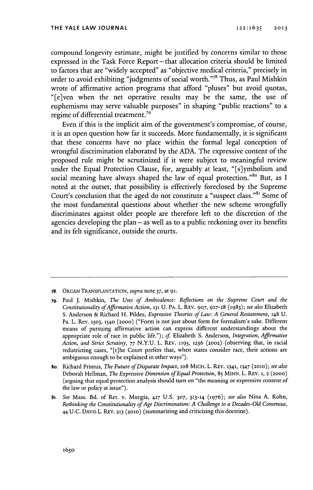compound longevity estimate, might be justified **by** concerns similar to those expressed in the Task Force Report-that allocation criteria should be limited to factors that are "widely accepted" as "objective medical criteria," precisely in order to avoid exhibiting "judgments of social worth."<sup>78</sup> Thus, as Paul Mishkin wrote of affirmative action programs that afford "pluses" but avoid quotas, "[e]ven when the net operative results may be the same, the use of euphemisms may serve valuable purposes" in shaping "public reactions" to a regime of differential treatment.<sup>79</sup>

Even **if** this is the implicit aim of the government's compromise, of course, it is an open question how far it succeeds. More fundamentally, it is significant that these concerns have no place within the formal legal conception of wrongful discrimination elaborated **by** the **ADA.** The expressive content of the proposed rule might be scrutinized if it were subject to meaningful review under the Equal Protection Clause, for, arguably at least, "[s]ymbolism and social meaning have always shaped the law of equal protection."<sup>80</sup> But, as I noted at the outset, that possibility is effectively foreclosed **by** the Supreme Court's conclusion that the aged do not constitute a "suspect class."<sup>81</sup> Some of the most fundamental questions about whether the new scheme wrongfully discriminates against older people are therefore left to the discretion of the agencies developing the plan **-as** well as to a public reckoning over its benefits and its felt significance, outside the courts.

- **78. ORGAN TRANSPLANTATION,** *supra* note **37,** at **91.**
- **79.** Paul **J.** Mishkin, *The Uses of Ambivalence: Reflections on the Supreme Court and the Constitutionality ofAffirmative Action,* **131 U.** PA. L. REV. **907, 927-28 (1983);** *see also* Elizabeth **S.** Anderson **&** Richard H. Pildes, *Expressive Theories of Law: A General Restatement,* 148 **U.** Pa. L. Rev. **1503, 1540** (2ooo) ("Form is not just about form for formalism's sake. Different means of pursuing affirmative action can express different understandings about the appropriate role of race in public life."); *cf* Elizabeth **S.** Anderson, *Integration, Affirmative Action, and Strict Scrutiny, 77* **N.Y.U.** L. REv. **1195, 1236 (2002)** (observing that, in racial redistricting cases, "[t]he Court prefers that, when states consider race, their actions are ambiguous enough to be explained in other ways").
- **8o.** Richard Primus, *The Future ofDisparate Impact,* io8 MICH. L. REv. **1341, 1347 (2olo);** *see also* Deborah Hellman, *The Expressive Dimension ofEqual Protection,* **85** MINN. L. REV. **1, 2 (2000)** (arguing that equal protection analysis should turn on "the meaning or expressive content of the law or policy at issue").
- 81. *See* Mass. Bd. of Ret. v. Murgia, **427 U.S. 307, 313-14 (1976);** *see also* Nina **A.** Kohn, *Rethinking the Constitutionality ofAge Discrimination: A Challenge to a Decades-Old Consensus,* 44 **U.C. DAVIs** L. REv. **213 (2010)** (summarizing and criticizing this doctrine).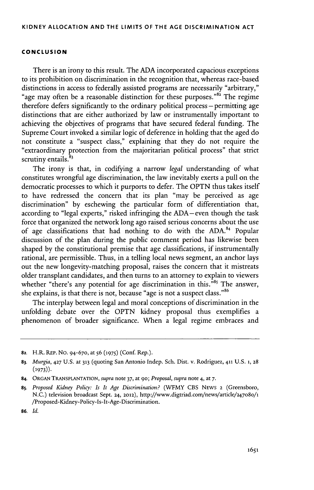#### **CONCLUSION**

There is an irony to this result. The **ADA** incorporated capacious exceptions to its prohibition on discrimination in the recognition that, whereas race-based distinctions in access to federally assisted programs are necessarily "arbitrary," "age may often be a reasonable distinction for these purposes." $82^{\circ}$  The regime therefore defers significantly to the ordinary political process – permitting age distinctions that are either authorized **by** law or instrumentally important to achieving the objectives of programs that have secured federal funding. The Supreme Court invoked a similar logic of deference in holding that the aged do not constitute a "suspect class," explaining that they do not require the "extraordinary protection from the majoritarian political process" that strict scrutiny entails. $83$ 

The irony is that, in codifying a narrow *legal* understanding of what constitutes wrongful age discrimination, the law inevitably exerts a pull on the democratic processes to which it purports to defer. The **OPTN** thus takes itself to have redressed the concern that its plan "may be perceived as age discrimination" **by** eschewing the particular form of differentiation that, according to "legal experts," risked infringing the ADA-even though the task force that organized the network long ago raised serious concerns about the use of age classifications that had nothing to do with the **ADA.1** Popular discussion of the plan during the public comment period has likewise been shaped **by** the constitutional premise that age classifications, if instrumentally rational, are permissible. Thus, in a telling local news segment, an anchor lays out the new longevity-matching proposal, raises the concern that it mistreats older transplant candidates, and then turns to an attorney to explain to viewers whether "there's any potential for age discrimination in this."<sup>85</sup> The answer, she explains, is that there is not, because "age is not a suspect class."

The interplay between legal and moral conceptions of discrimination in the unfolding debate over the **OPTN** kidney proposal thus exemplifies a phenomenon of broader significance. When a legal regime embraces and

**<sup>82.</sup> H.R. REP.** No. **94-670,** at *56* **(1975)** (Conf. Rep.).

**<sup>83.</sup>** *Murgia,* **427 U.S.** at **313** (quoting San Antonio Indep. Sch. Dist. v. Rodriguez, **411 U.S. 1, 28 (1973)).**

**<sup>84.</sup> ORGAN TRANSPLANTATION,** *supra* note **37,** at go; *Proposal, supra* note 4, at *7.*

**<sup>85.</sup>** *Proposed Kidney Policy: Is It Age Discrimination?* (WFMY **CBS NEWS 2** (Greensboro, **N.C.)** television broadcast Sept. *24,* **2012),** http://www.digtriad.com/news/article/247o8o/1 /Proposed-Kidney-Policy-Is-It-Age-Discrinination.

**<sup>86.</sup>** *Id.*